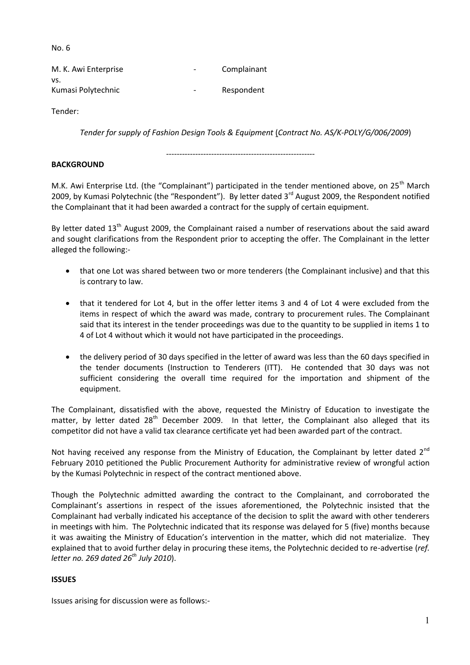No. 6

| M. K. Awi Enterprise | $\overline{\phantom{0}}$ | Complainant |
|----------------------|--------------------------|-------------|
| VS.                  |                          |             |
| Kumasi Polytechnic   | $\overline{\phantom{0}}$ | Respondent  |

Tender:

*Tender for supply of Fashion Design Tools & Equipment* (*Contract No. AS/K-POLY/G/006/2009*)

--------------------------------------------------------

## **BACKGROUND**

M.K. Awi Enterprise Ltd. (the "Complainant") participated in the tender mentioned above, on 25<sup>th</sup> March 2009, by Kumasi Polytechnic (the "Respondent"). By letter dated 3<sup>rd</sup> August 2009, the Respondent notified the Complainant that it had been awarded a contract for the supply of certain equipment.

By letter dated 13<sup>th</sup> August 2009, the Complainant raised a number of reservations about the said award and sought clarifications from the Respondent prior to accepting the offer. The Complainant in the letter alleged the following:-

- that one Lot was shared between two or more tenderers (the Complainant inclusive) and that this is contrary to law.
- that it tendered for Lot 4, but in the offer letter items 3 and 4 of Lot 4 were excluded from the items in respect of which the award was made, contrary to procurement rules. The Complainant said that its interest in the tender proceedings was due to the quantity to be supplied in items 1 to 4 of Lot 4 without which it would not have participated in the proceedings.
- the delivery period of 30 days specified in the letter of award was less than the 60 days specified in the tender documents (Instruction to Tenderers (ITT). He contended that 30 days was not sufficient considering the overall time required for the importation and shipment of the equipment.

The Complainant, dissatisfied with the above, requested the Ministry of Education to investigate the matter, by letter dated  $28<sup>th</sup>$  December 2009. In that letter, the Complainant also alleged that its competitor did not have a valid tax clearance certificate yet had been awarded part of the contract.

Not having received any response from the Ministry of Education, the Complainant by letter dated 2<sup>nd</sup> February 2010 petitioned the Public Procurement Authority for administrative review of wrongful action by the Kumasi Polytechnic in respect of the contract mentioned above.

Though the Polytechnic admitted awarding the contract to the Complainant, and corroborated the Complainant's assertions in respect of the issues aforementioned, the Polytechnic insisted that the Complainant had verbally indicated his acceptance of the decision to split the award with other tenderers in meetings with him. The Polytechnic indicated that its response was delayed for 5 (five) months because it was awaiting the Ministry of Education's intervention in the matter, which did not materialize. They explained that to avoid further delay in procuring these items, the Polytechnic decided to re-advertise (*ref. letter no. 269 dated 26th July 2010*).

# **ISSUES**

Issues arising for discussion were as follows:-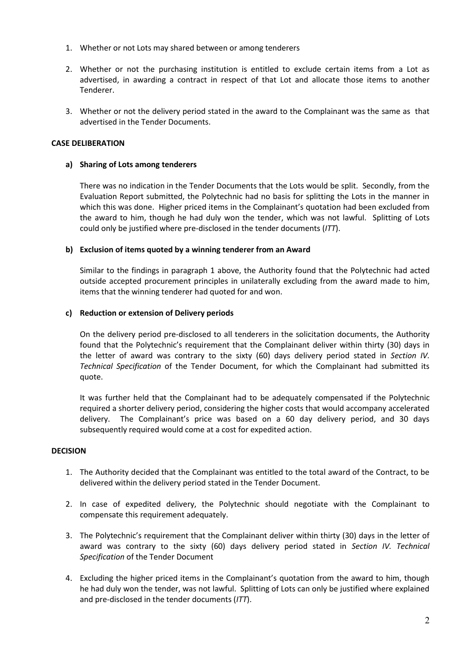- 1. Whether or not Lots may shared between or among tenderers
- 2. Whether or not the purchasing institution is entitled to exclude certain items from a Lot as advertised, in awarding a contract in respect of that Lot and allocate those items to another Tenderer.
- 3. Whether or not the delivery period stated in the award to the Complainant was the same as that advertised in the Tender Documents.

## **CASE DELIBERATION**

### **a) Sharing of Lots among tenderers**

There was no indication in the Tender Documents that the Lots would be split. Secondly, from the Evaluation Report submitted, the Polytechnic had no basis for splitting the Lots in the manner in which this was done. Higher priced items in the Complainant's quotation had been excluded from the award to him, though he had duly won the tender, which was not lawful. Splitting of Lots could only be justified where pre-disclosed in the tender documents (*ITT*).

#### **b) Exclusion of items quoted by a winning tenderer from an Award**

Similar to the findings in paragraph 1 above, the Authority found that the Polytechnic had acted outside accepted procurement principles in unilaterally excluding from the award made to him, items that the winning tenderer had quoted for and won.

#### **c) Reduction or extension of Delivery periods**

On the delivery period pre-disclosed to all tenderers in the solicitation documents, the Authority found that the Polytechnic's requirement that the Complainant deliver within thirty (30) days in the letter of award was contrary to the sixty (60) days delivery period stated in *Section IV. Technical Specification* of the Tender Document, for which the Complainant had submitted its quote.

It was further held that the Complainant had to be adequately compensated if the Polytechnic required a shorter delivery period, considering the higher costs that would accompany accelerated delivery. The Complainant's price was based on a 60 day delivery period, and 30 days subsequently required would come at a cost for expedited action.

#### **DECISION**

- 1. The Authority decided that the Complainant was entitled to the total award of the Contract, to be delivered within the delivery period stated in the Tender Document.
- 2. In case of expedited delivery, the Polytechnic should negotiate with the Complainant to compensate this requirement adequately.
- 3. The Polytechnic's requirement that the Complainant deliver within thirty (30) days in the letter of award was contrary to the sixty (60) days delivery period stated in *Section IV. Technical Specification* of the Tender Document
- 4. Excluding the higher priced items in the Complainant's quotation from the award to him, though he had duly won the tender, was not lawful. Splitting of Lots can only be justified where explained and pre-disclosed in the tender documents (*ITT*).